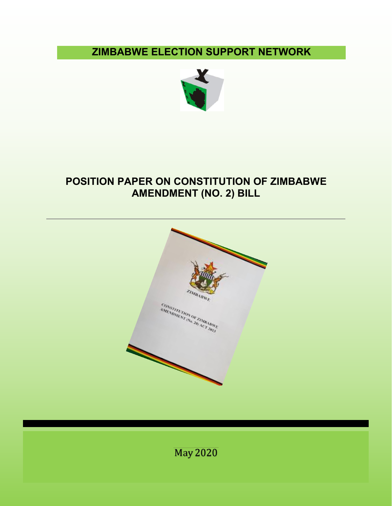**ZIMBABWE ELECTION SUPPORT NETWORK**



# **POSITION PAPER ON CONSTITUTION OF ZIMBABWE AMENDMENT (NO. 2) BILL**



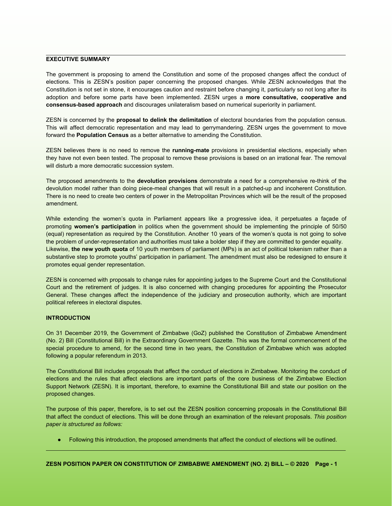## **EXECUTIVE SUMMARY**

The government is proposing to amend the Constitution and some of the proposed changes affect the conduct of elections. This is ZESN's position paper concerning the proposed changes. While ZESN acknowledges that the Constitution is not set in stone, it encourages caution and restraint before changing it, particularly so not long after its adoption and before some parts have been implemented. ZESN urges a **more consultative, cooperative and** consensus-based approach and discourages unilateralism based on numerical superiority in parliament.<br>ZESN is concerned by the proposal to delink the delimitation of electoral boundaries from the population census.

This will affect democratic representation and may lead to gerrymandering. ZESN urges the government to move forward the **Population Census** as a better alternative to amending the Constitution.

ZESN believes there is no need to remove the **running-mate** provisions in presidential elections, especially when they have not even been tested. The proposal to remove these provisions is based on an irrational fear. The removal will disturb a more democratic succession system.

The proposed amendments to the **devolution provisions** demonstrate a need for a comprehensive re-think of the devolution model rather than doing piece-meal changes that will result in a patched-up and incoherent Constitution. There is no need to create two centers of power in the Metropolitan Provinces which will be the result of the proposed amendment.

While extending the women's quota in Parliament appears like a progressive idea, it perpetuates a façade of promoting **women's participation** in politics when the government should be implementing the principle of 50/50 (equal) representation as required by the Constitution. Another 10 years of the women's quota isnot going to solve the problem of under-representation and authorities must take a bolder step if they are committed to gender equality. Likewise, **the new youth quota** of 10 youth members of parliament (MPs) is an act ofpolitical tokenism rather than a substantive step to promote youths' participation in parliament. The amendment must also be redesigned to ensure it promotes equal gender representation.

ZESN is concerned with proposals to change rules for appointing judges to the Supreme Court and the Constitutional Court and the retirement of judges. It is also concerned with changing procedures for appointing the Prosecutor General. These changes affect the independence of the judiciary and prosecution authority, which are important political referees in electoral disputes.

# **INTRODUCTION**

On 31 December 2019, the Government of Zimbabwe (GoZ) published the Constitution of Zimbabwe Amendment (No. 2) Bill (Constitutional Bill) in the Extraordinary Government Gazette. This was the formal commencement of the special procedure to amend, for the second time in two years, the Constitution of Zimbabwe which was adopted following a popular referendum in 2013.

The Constitutional Bill includes proposals that affect the conduct of elections in Zimbabwe. Monitoring the conduct of elections and the rules that affect elections are important parts of the core business of the Zimbabwe Election Support Network (ZESN). It is important, therefore, to examine the Constitutional Bill and state our position on the proposed changes.

The purpose of this paper, therefore, is to set out the ZESN position concerning proposals in the Constitutional Bill that affect the conduct of elections. This will be done through an examination of the relevant proposals. *This position paper is structured as follows:*

● Following this introduction, the proposed amendments that affect the conduct of elections will be outlined.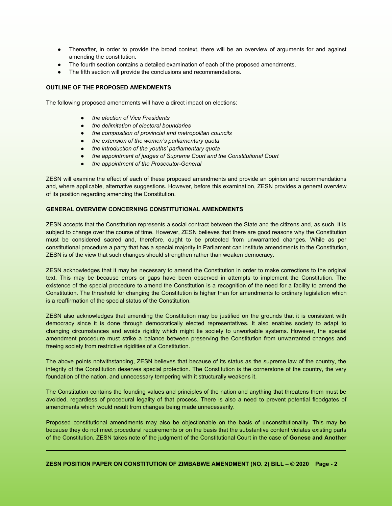- Thereafter, in order to provide the broad context, there will be an overview of arguments for and against amending the constitution.
- The fourth section contains a detailed examination of each of the proposed amendments.
- The fifth section will provide the conclusions and recommendations.

# **OUTLINE OF THE PROPOSED AMENDMENTS**

The following proposed amendments will have a direct impact on elections:

- *the election of Vice Presidents*
- *the delimitation of electoral boundaries*
- *the composition of provincial and metropolitan councils*
- *the extension of the women's parliamentary quota*
- *the introduction of the youths' parliamentary quota*
- *the appointment of judges of Supreme Court and the ConstitutionalCourt*
- *the appointment of the Prosecutor-General*

ZESN will examine the effect of each of these proposed amendments and provide an opinion and recommendations and, where applicable, alternative suggestions. However, before this examination, ZESN provides a general overview of its position regarding amending the Constitution.

# **GENERAL OVERVIEW CONCERNING CONSTITUTIONAL AMENDMENTS**

ZESN accepts that the Constitution represents a social contract between the State and the citizens and, as such, it is subject to change over the course of time. However, ZESN believes that there are good reasons why the Constitution must be considered sacred and, therefore, ought to be protected from unwarranted changes. While as per constitutional procedure a party that has a special majority in Parliament can institute amendments to the Constitution, ZESN is of the view that such changes should strengthen rather than weaken democracy.

ZESN acknowledges that it may be necessary to amend the Constitution in order to make corrections to the original text. This may be because errors or gaps have been observed in attempts to implement the Constitution. The existence of the special procedure to amend the Constitution is a recognition of the need for a facility to amend the Constitution. The threshold for changing the Constitution ishigher than for amendments to ordinary legislation which is a reaffirmation of the special status of the Constitution.

ZESN also acknowledges that amending the Constitution may be justified on the grounds that it is consistent with democracy since it is done through democratically elected representatives. It also enables society to adapt to changing circumstances and avoids rigidity which might tie society to unworkable systems. However, the special amendment procedure must strike a balance between preserving the Constitution from unwarranted changes and freeing society from restrictive rigidities of a Constitution.

The above points notwithstanding, ZESN believes that because of its status as the supreme law of the country, the integrity of the Constitution deserves special protection. The Constitution is the cornerstone of the country, the very foundation of the nation, and unnecessary tempering with it structurally weakens it.

The Constitution contains the founding values and principles of the nation and anything that threatens them must be avoided, regardless of procedural legality of that process. There is also a need to prevent potential floodgates of amendments which would result from changes being made unnecessarily.

Proposed constitutional amendments may also be objectionable on the basis of unconstitutionality. This may be because they do not meet procedural requirements or on the basis that the substantive content violates existing parts of the Constitution. ZESN takes note of the judgment of the ConstitutionalCourt in the case of**Gonese and Another**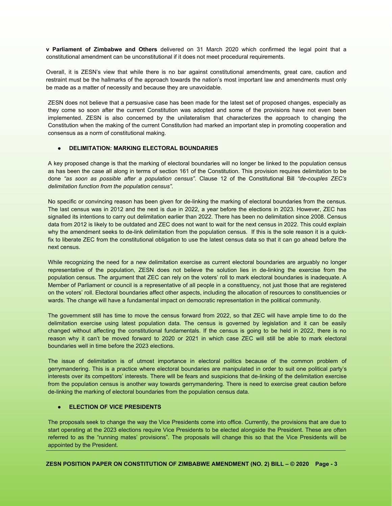**v Parliament of Zimbabwe and Others** delivered on 31 March 2020 which confirmed the legal point that a constitutional amendment can be unconstitutional if it does not meet procedural requirements.

Overall, it is ZESN's view that while there is no bar against constitutional amendments, great care, caution and restraint must be the hallmarks of the approach towards the nation's most important law and amendments must only be made as a matter of necessity and because they are unavoidable.

ZESN does not believe that a persuasive case has been made for the latest set of proposed changes, especially as they come so soon after the current Constitution was adopted and some of the provisions have not even been implemented. ZESN is also concerned by the unilateralism that characterizes the approach to changing the Constitution when the making of the current Constitution had marked an important step in promoting cooperation and consensus as a norm of constitutional making.

# ● **DELIMITATION: MARKING ELECTORAL BOUNDARIES**

A key proposed change is that the marking of electoral boundaries will no longer be linked to the population census as has been the case all along in terms of section 161 of the Constitution. This provision requires delimitation to be done *"as soon as possible after a population census"*. Clause 12 of the Constitutional Bill *"de-couples ZEC's delimitation function from the population census"*.

No specific or convincing reason has been given for de-linking the marking of electoral boundaries from the census. The last census was in 2012 and the next is due in 2022, a year before the elections in 2023. However, ZEC has signalled its intentions to carry out delimitation earlier than 2022. There has been no delimitation since 2008. Census data from 2012 is likely to be outdated and ZEC does not want to wait for the next census in 2022. This could explain why the amendment seeks to de-link delimitation from the population census. If this is the sole reason it is a quickfix to liberate ZEC from the constitutional obligation to use the latest census data so that it can go ahead before the next census.

While recognizing the need for a new delimitation exercise as current electoral boundaries are arguably no longer representative of the population, ZESN does not believe the solution lies in de-linking the exercise from the population census. The argument that ZEC can rely on the voters' roll to mark electoral boundaries is inadequate. A Member of Parliament or council is a representative of all people in a constituency, not just those that are registered on the voters' roll. Electoral boundaries affect other aspects, including the allocation of resources to constituencies or wards. The change will have a fundamental impact on democratic representation in the political community.

The government still has time to move the census forward from 2022, so that ZEC will have ample time to do the delimitation exercise using latest population data. The census is governed by legislation and it can be easily changed without affecting the constitutional fundamentals. If the census is going to be held in 2022, there is no reason why it can't be moved forward to 2020 or 2021 in which case ZEC will still be able to mark electoral boundaries well in time before the 2023 elections.

The issue of delimitation is of utmost importance in electoral politics because of the common problem of gerrymandering. This is a practice where electoral boundaries are manipulated in order to suit one political party's interests over its competitors' interests. There will be fears and suspicions that de-linking of the delimitation exercise from the population census is another way towards gerrymandering. There is need to exercise great caution before de-linking the marking of electoral boundaries from the population census data.

### ● **ELECTION OF VICE PRESIDENTS**

The proposals seek to change the way the Vice Presidents come into office. Currently, the provisions that are due to start operating at the 2023 elections require Vice Presidents to be elected alongside the President. These are often referred to as the "running mates' provisions". The proposals will change this so that the Vice Presidents will be appointed by the President.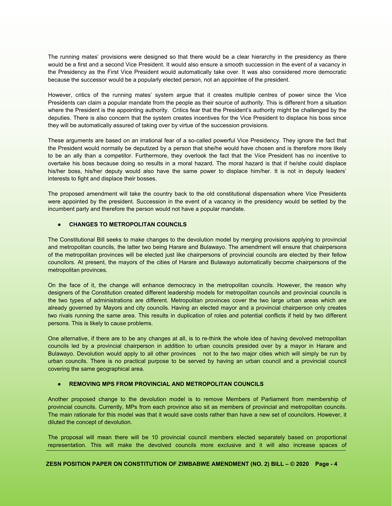The running mates' provisions were designed so that there would be a clear hierarchy in the presidency as there would be a first and a second Vice President. It would also ensure a smooth succession in the event of a vacancy in the Presidency as the First Vice President would automatically take over. It was also considered more democratic because the successor would be a popularly elected person, notan appointee of the president.

However, critics of the running mates' system argue that it creates multiple centres of power since the Vice Presidents can claim a popular mandate from the people as their source of authority. This is different from a situation where the President is the appointing authority. Critics fear that the President's authority might be challenged by the deputies. There is also concern that the system creates incentives for the Vice President to displace his boss since they will be automatically assured of taking over by virtue of the succession provisions.

These arguments are based on an irrational fear of a so-called powerful Vice Presidency. They ignore the fact that the President would normally be deputized by a person that she/he would have chosen and istherefore more likely to be an ally than a competitor. Furthermore, they overlook the fact that the Vice President has no incentive to overtake his boss because doing so results in a moral hazard. The moral hazard is that if he/she could displace his/her boss, his/her deputy would also have the same power to displace him/her. It is not in deputy leaders' interests to fight and displace their bosses.

The proposed amendment will take the country back to the old constitutional dispensation where Vice Presidents were appointed by the president. Succession in the event of a vacancy in the presidency would be settled by the incumbent party and therefore the person would not have a popular mandate.

#### ● **CHANGES TO METROPOLITAN COUNCILS**

The Constitutional Bill seeks to make changes to the devolution model by merging provisions applying to provincial and metropolitan councils, the latter two being Harare and Bulawayo. The amendment will ensure that chairpersons of the metropolitan provinces will be elected just like chairpersons of provincial councils are elected by their fellow councilors. At present, the mayors of the cities of Harare and Bulawayo automatically become chairpersons of the metropolitan provinces.

On the face of it, the change will enhance democracy in the metropolitan councils. However, the reason why designers of the Constitution created different leadership models for metropolitan councils and provincial councils is the two types of administrations are different. Metropolitan provinces cover the two large urban areas which are already governed by Mayors and city councils. Having an elected mayor and a provincial chairperson only creates two rivals running the same area. This results in duplication of roles and potential conflicts if held by two different persons. This is likely to cause problems.

One alternative, if there are to be any changes at all, is to re-think the whole idea of having devolved metropolitan councils led by a provincial chairperson in addition to urban councils presided over by a mayor in Harare and Bulawayo. Devolution would apply to all other provinces not to the two major cities which will simply be run by urban councils. There is no practical purpose to be served by having an urban council and a provincial council covering the same geographical area.

# ● **REMOVING MPS FROM PROVINCIAL AND METROPOLITAN COUNCILS**

Another proposed change to the devolution model is to remove Members of Parliament from membership of provincial councils. Currently, MPs from each province also sit as members of provincial and metropolitan councils. The main rationale for this model was that it would save costs rather than have a new set of councilors. However, it diluted the concept of devolution.

The proposal will mean there will be 10 provincial council members elected separately based on proportional representation. This will make the devolved councils more exclusive and it will also increase spaces of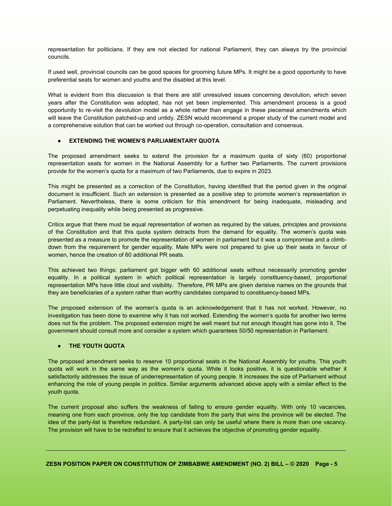representation for politicians. If they are not elected for national Parliament, they can always try the provincial councils.

If used well, provincial councils can be good spaces for grooming future MPs. It might be a good opportunity to have preferential seats for women and youths and the disabled at this level.

What is evident from this discussion is that there are still unresolved issues concerning devolution, which seven years after the Constitution was adopted, has not yet been implemented. This amendment process is a good opportunity to re-visit the devolution model as a whole rather than engage in these piecemeal amendments which will leave the Constitution patched-up and untidy. ZESN would recommend a proper study of the current model and <sup>a</sup> comprehensive solution that can be worked out through co-operation, consultation and consensus.● **EXTENDING THE WOMEN'S PARLIAMENTARY QUOTA**

The proposed amendment seeks to extend the provision for a maximum quota of sixty (60) proportional representation seats for women in the National Assembly for a further two Parliaments. The current provisions provide for the women's quota for a maximum of two Parliaments, due to expire in 2023.

This might be presented as a correction of the Constitution, having identified that the period given in the original document is insufficient. Such an extension is presented as a positive step to promote women's representation in Parliament. Nevertheless, there is some criticism for this amendment for being inadequate, misleading and perpetuating inequality while being presented as progressive.

Critics argue that there must be equal representation of women as required by the values, principles and provisions of the Constitution and that this quota system detracts from the demand for equality. The women's quota was presented as a measure to promote the representation of women in parliament but it was a compromise and a climb down from the requirement for gender equality. Male MPs were not prepared to give up their seats in favour of women, hence the creation of 60 additional PR seats.

This achieved two things: parliament got bigger with 60 additional seats without necessarily promoting gender equality. In a political system in which political representation is largely constituency-based, proportional representation MPs have little clout and visibility. Therefore, PR MPs are given derisive names on the grounds that they are beneficiaries of a system rather than worthy candidates compared to constituency-based MPs.

The proposed extension of the women's quota is an acknowledgement that it has not worked. However, no investigation has been done to examine why it has not worked. Extending the women's quota for another two terms does not fix the problem. The proposed extension might be well meant but not enough thought has gone into it. The government should consult more and consider a system which guarantees 50/50 representation in Parliament.<br>● **THE YOUTH QUOTA** 

The proposed amendment seeks to reserve 10 proportional seats in the National Assembly for youths. This youth quota will work in the same way as the women's quota. While it looks positive, it is questionable whether it satisfactorily addresses the issue of underrepresentation of young people. It increases the size of Parliament without enhancing the role of young people in politics. Similar arguments advanced above apply with a similar effect to the youth quota.

The current proposal also suffers the weakness of failing to ensure gender equality. With only 10 vacancies, meaning one from each province, only the top candidate from the party that wins the province will be elected. The idea of the party-list is therefore redundant. A party-list can only be useful where there is more than one vacancy. The provision will have to be redrafted to ensure that it achieves the objective of promoting gender equality.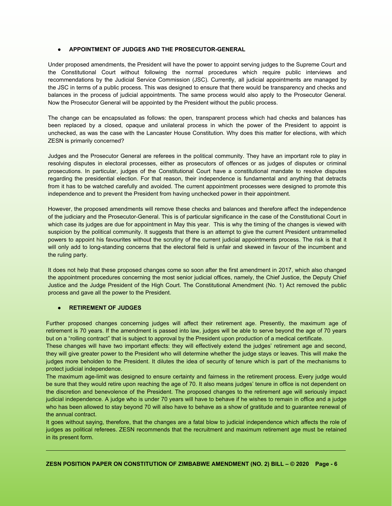# ● **APPOINTMENT OF JUDGES AND THE PROSECUTOR-GENERAL**

Under proposed amendments, the President will have the power to appoint serving judges to the Supreme Court and the Constitutional Court without following the normal procedures which require public interviews and recommendations by the Judicial Service Commission (JSC). Currently, all judicial appointments are managed by the JSC in terms of a public process. This was designed to ensure that there would be transparency and checks and balances in the process of judicial appointments. The same process would also apply to the Prosecutor General. Now the Prosecutor General will be appointed by the President without the public process.

The change can be encapsulated as follows: the open, transparent process which had checks and balances has been replaced by a closed, opaque and unilateral process in which the power of the President to appoint is unchecked, as was the case with the Lancaster House Constitution. Why does this matter for elections, with which ZESN is primarily concerned?

Judges and the Prosecutor General are referees in the political community. They have an important role to play in resolving disputes in electoral processes, either as prosecutors of offences or as judges of disputes or criminal prosecutions. In particular, judges of the Constitutional Court have a constitutional mandate to resolve disputes regarding the presidential election. For that reason, their independence is fundamental and anything that detracts from it has to be watched carefully and avoided. The current appointment processes were designed to promote this independence and to prevent the President from having unchecked power in their appointment.

However, the proposed amendments will remove these checks and balances and therefore affect the independence of the judiciary and the Prosecutor-General. This is of particular significance in the case of the Constitutional Court in which case its judges are due for appointment in May this year. This is why the timing of the changes is viewed with suspicion by the political community. It suggests that there is an attempt to give the current President untrammelled powers to appoint his favourites without the scrutiny of the current judicial appointments process. The risk is that it will only add to long-standing concerns that the electoral field is unfair and skewed in favour of the incumbent and the ruling party.

It does not help that these proposed changes come so soon after the first amendment in 2017, which also changed the appointment procedures concerning the most senior judicial offices, namely, the Chief Justice, the Deputy Chief Justice and the Judge President of the High Court. The Constitutional Amendment (No. 1) Act removed the public process and gave all the power to the President.

# ● **RETIREMENT OF JUDGES**

Further proposed changes concerning judges will affect their retirement age. Presently, the maximum age of retirement is 70 years. If the amendment is passed into law, judges will be able to serve beyond the age of 70 years but on a "rolling contract" that is subject to approval by the President upon production of a medical certificate.

These changes will have two important effects: they will effectively extend the judges' retirement age and second, they will give greater power to the President who will determine whether the judge stays or leaves. This will make the judges more beholden to the President. It dilutes the idea of security of tenure which is part of the mechanisms to protect judicial independence.

The maximum age-limit was designed to ensure certainty and fairness in the retirement process. Every judge would be sure that they would retire upon reaching the age of 70. It also means judges' tenure in office is not dependent on the discretion and benevolence of the President. The proposed changes to the retirement age will seriously impact judicial independence. A judge who is under 70 years will have to behave if he wishes to remain in office and a judge who has been allowed to stay beyond 70 will also have to behave as a show of gratitude and to guarantee renewal of the annual contract.

It goes without saying, therefore, that the changes are a fatal blow to judicial independence which affects the role of judges as political referees. ZESN recommends that the recruitment and maximum retirement age must be retained in its present form.